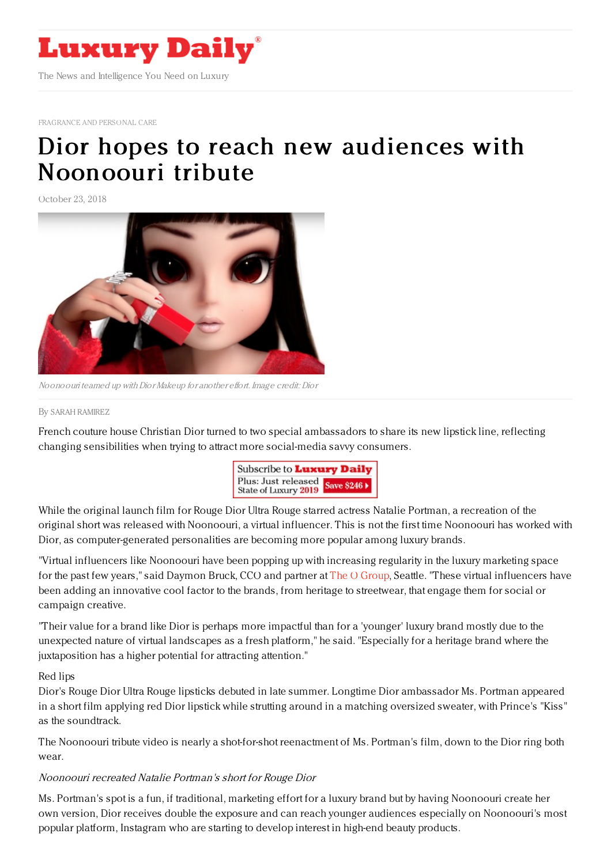

[FRAGRANCE](https://www.luxurydaily.com/category/sectors/fragrance-and-personal-care/) AND PERSONAL CARE

## Dior hopes to reach new audiences with [Noonoouri](https://www.luxurydaily.com/dior-hopes-to-reach-new-audiences-with-noonouri-tribute/) tribute

October 23, 2018



Noonoouri teamed up with Dior Makeup for another effort. Image credit: Dior

## By SARAH [RAMIREZ](file:///author/sarah-ramirez)

French couture house Christian Dior turned to two special ambassadors to share its new lipstick line, reflecting changing sensibilities when trying to attract more social-media savvy consumers.



While the original launch film for Rouge Dior Ultra Rouge starred actress Natalie Portman, a recreation of the original short was released with Noonoouri, a virtual influencer. This is not the first time Noonoouri has worked with Dior, as computer-generated personalities are becoming more popular among luxury brands.

"Virtual influencers like Noonoouri have been popping up with increasing regularity in the luxury marketing space for the past few years," said Daymon Bruck, CCO and partner at The O [Group](https://www.ogroup.net/), Seattle. "These virtual influencers have been adding an innovative cool factor to the brands, from heritage to streetwear, that engage them for social or campaign creative.

"Their value for a brand like Dior is perhaps more impactful than for a 'younger' luxury brand mostly due to the unexpected nature of virtual landscapes as a fresh platform," he said. "Especially for a heritage brand where the juxtaposition has a higher potential for attracting attention."

## Red lips

Dior's Rouge Dior Ultra Rouge lipsticks debuted in late summer. Longtime Dior ambassador Ms. Portman appeared in a short film applying red Dior lipstick while strutting around in a matching oversized sweater, with Prince's "Kiss" as the soundtrack.

The Noonoouri tribute video is nearly a shot-for-shot reenactment of Ms. Portman's film, down to the Dior ring both wear.

## Noonoouri recreated Natalie Portman's short for Rouge Dior

Ms. Portman's spot is a fun, if traditional, marketing effort for a luxury brand but by having Noonoouri create her own version, Dior receives double the exposure and can reach younger audiences especially on Noonoouri's most popular platform, Instagram who are starting to develop interest in high-end beauty products.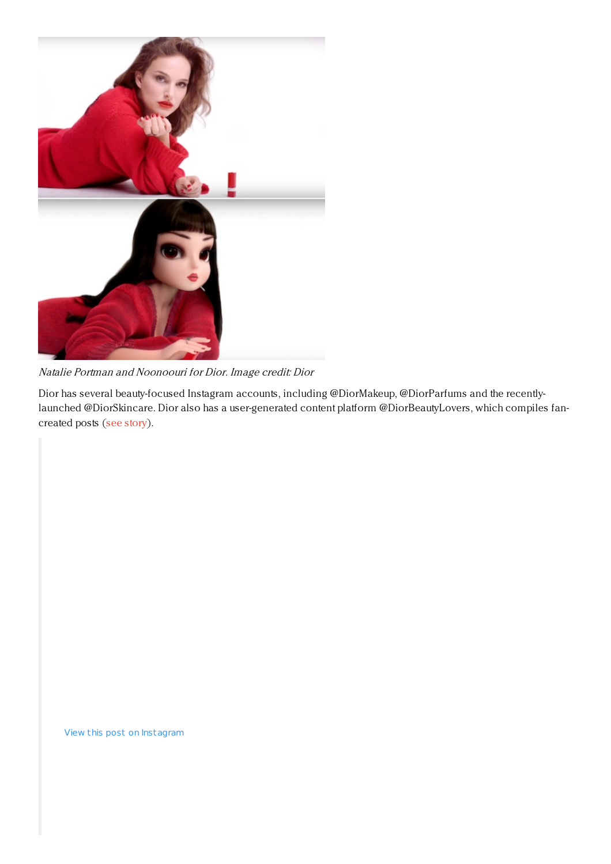

Natalie Portman and Noonoouri for Dior. Image credit: Dior

Dior has several beauty-focused Instagram accounts, including @DiorMakeup, @DiorParfums and the recentlylaunched @DiorSkincare. Dior also has a user-generated content platform @DiorBeautyLovers, which compiles fancreated posts (see [story](https://www.luxurydaily.com/shiseido-chanel-dior-exhibit-instagrams-potential-for-beauty-ugc/)).

View this post on Instagram